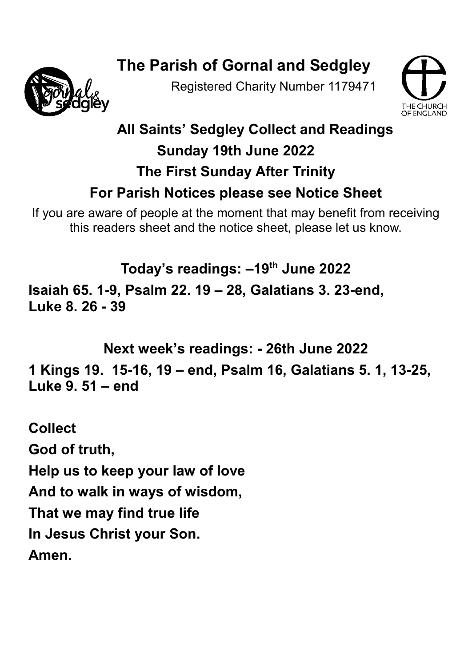



Registered Charity Number 1179471



## **All Saints' Sedgley Collect and Readings Sunday 19th June 2022 The First Sunday After Trinity For Parish Notices please see Notice Sheet**

If you are aware of people at the moment that may benefit from receiving this readers sheet and the notice sheet, please let us know.

**Today's readings: –19 th June 2022 Isaiah 65. 1-9, Psalm 22. 19 – 28, Galatians 3. 23-end, Luke 8. 26 - 39**

**Next week's readings: - 26th June 2022 1 Kings 19. 15-16, 19 – end, Psalm 16, Galatians 5. 1, 13-25, Luke 9. 51 – end**

**Collect God of truth, Help us to keep your law of love And to walk in ways of wisdom, That we may find true life In Jesus Christ your Son. Amen.**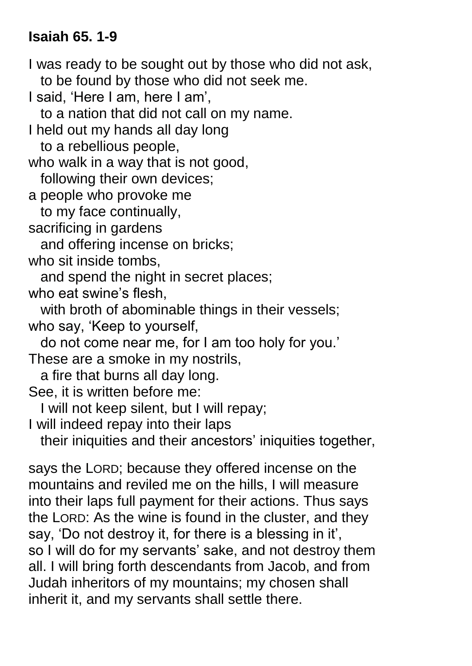## **Isaiah 65. 1-9**

I was ready to be sought out by those who did not ask, to be found by those who did not seek me. I said, 'Here I am, here I am', to a nation that did not call on my name. I held out my hands all day long to a rebellious people, who walk in a way that is not good, following their own devices; a people who provoke me to my face continually, sacrificing in gardens and offering incense on bricks; who sit inside tombs. and spend the night in secret places; who eat swine's flesh, with broth of abominable things in their vessels; who say, 'Keep to yourself, do not come near me, for I am too holy for you.' These are a smoke in my nostrils, a fire that burns all day long. See, it is written before me: I will not keep silent, but I will repay; I will indeed repay into their laps their iniquities and their ancestors' iniquities together, says the LORD; because they offered incense on the mountains and reviled me on the hills, I will measure into their laps full payment for their actions. Thus says the LORD: As the wine is found in the cluster, and they say, 'Do not destroy it, for there is a blessing in it',

so I will do for my servants' sake, and not destroy them all. I will bring forth descendants from Jacob, and from Judah inheritors of my mountains; my chosen shall inherit it, and my servants shall settle there.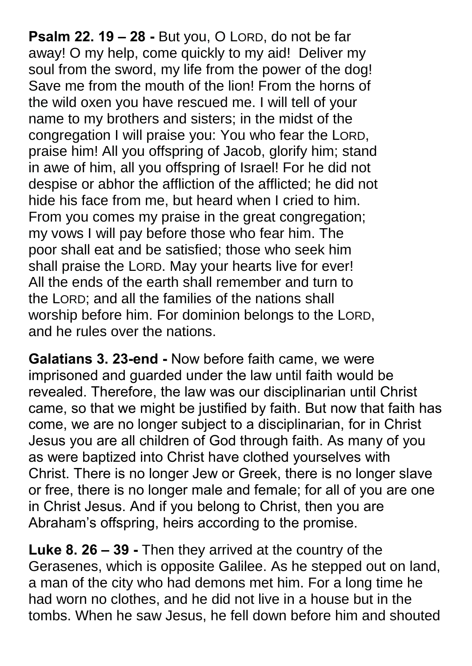**Psalm 22. 19 – 28 -** But you, O LORD, do not be far away! O my help, come quickly to my aid! Deliver my soul from the sword, my life from the power of the dog! Save me from the mouth of the lion! From the horns of the wild oxen you have rescued me. I will tell of your name to my brothers and sisters; in the midst of the congregation I will praise you: You who fear the LORD, praise him! All you offspring of Jacob, glorify him; stand in awe of him, all you offspring of Israel! For he did not despise or abhor the affliction of the afflicted; he did not hide his face from me, but heard when I cried to him. From you comes my praise in the great congregation; my vows I will pay before those who fear him. The poor shall eat and be satisfied; those who seek him shall praise the LORD. May your hearts live for ever! All the ends of the earth shall remember and turn to the LORD; and all the families of the nations shall worship before him. For dominion belongs to the LORD, and he rules over the nations.

**Galatians 3. 23-end -** Now before faith came, we were imprisoned and guarded under the law until faith would be revealed. Therefore, the law was our disciplinarian until Christ came, so that we might be justified by faith. But now that faith has come, we are no longer subject to a disciplinarian, for in Christ Jesus you are all children of God through faith. As many of you as were baptized into Christ have clothed yourselves with Christ. There is no longer Jew or Greek, there is no longer slave or free, there is no longer male and female; for all of you are one in Christ Jesus. And if you belong to Christ, then you are Abraham's offspring, heirs according to the promise.

**Luke 8. 26 – 39 -** Then they arrived at the country of the Gerasenes, which is opposite Galilee. As he stepped out on land, a man of the city who had demons met him. For a long time he had worn no clothes, and he did not live in a house but in the tombs. When he saw Jesus, he fell down before him and shouted